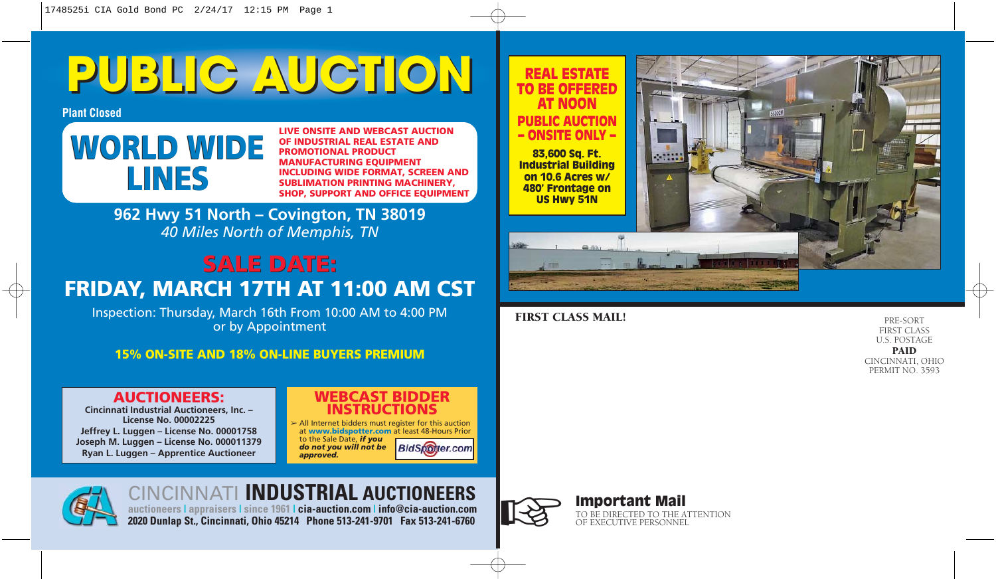# **PUBLIC AUCTION PUBLIC AUCTION**

**Plant Closed**

# **WORLD WIDE LINES**

**LIVE ONSITE AND WEBCAST AUCTION OF INDUSTRIAL REAL ESTATE AND PROMOTIONAL PRODUCT MANUFACTURING EQUIPMENT INCLUDING WIDE FORMAT, SCREEN AND SUBLIMATION PRINTING MACHINERY, SHOP, SUPPORT AND OFFICE EQUIPMENT** 

**962 Hwy 51 North – Covington, TN 38019** *40 Miles North of Memphis, TN*

### **SALE DATE: SALE DATE: FRIDAY, MARCH 17TH AT 11:00 AM CST**

Inspection: Thursday, March 16th From 10:00 AM to 4:00 PM or by Appointment

### **15% ON-SITE AND 18% ON-LINE BUYERS PREMIUM**

### **AUCTIONEERS:**

**Cincinnati Industrial Auctioneers, Inc. – License No. 00002225 Jeffrey L. Luggen – License No. 00001758 Joseph M. Luggen – License No. 000011379 Ryan L. Luggen – Apprentice Auctioneer**

### **WEBCAST BIDDER INSTRUCTIONS**

 $\geq$  All Internet bidders must register for this auction at **www.bidspotter.com** at least 48-Hours Prior to the Sale Date, *if you do not you will not be* **BidSpotter.com** *approved.*



CINCINNATI **INDUSTRIAL AUCTIONEERS auctioneers | appraisers | since 1961 | cia-auction.com | info@cia-auction.com 2020 Dunlap St., Cincinnati, Ohio 45214 Phone 513-241-9701 Fax 513-241-6760**



# Important Mail **Important Mail**<br>TO BE DIRECTED TO THE ATTENTION OF EXECUTIVE PERSONNEL



### FIRST CLASS MAIL!

REAL ESTATE

PRE-SORT FIRST CLASS U.S. POSTAGE PAID

CINCINNATI, OHIO PERMIT NO. 3593